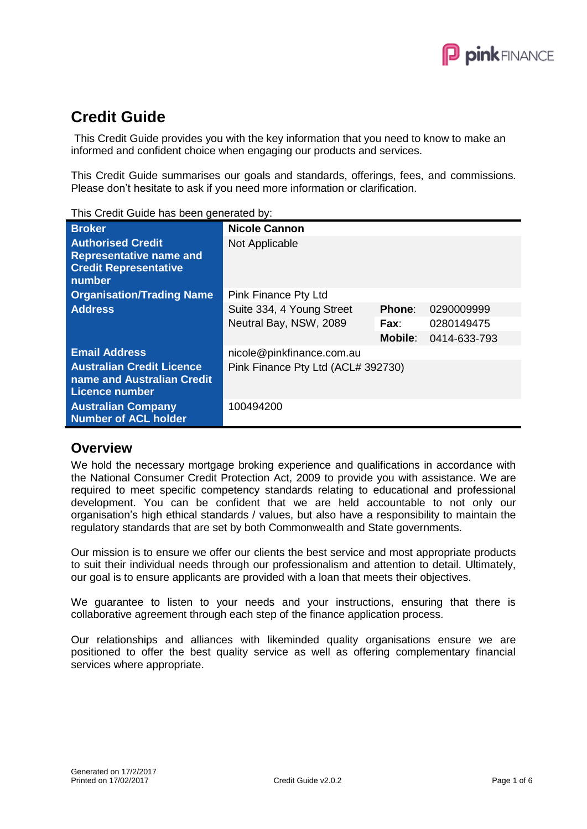

## **Credit Guide**

This Credit Guide provides you with the key information that you need to know to make an informed and confident choice when engaging our products and services.

This Credit Guide summarises our goals and standards, offerings, fees, and commissions. Please don't hesitate to ask if you need more information or clarification.

| This Credit Guide has been generated by: |  |
|------------------------------------------|--|
|------------------------------------------|--|

| <b>Broker</b>                                                                                        | <b>Nicole Cannon</b>               |               |              |
|------------------------------------------------------------------------------------------------------|------------------------------------|---------------|--------------|
| <b>Authorised Credit</b><br><b>Representative name and</b><br><b>Credit Representative</b><br>number | Not Applicable                     |               |              |
| <b>Organisation/Trading Name</b>                                                                     | Pink Finance Pty Ltd               |               |              |
| <b>Address</b>                                                                                       | Suite 334, 4 Young Street          | <b>Phone:</b> | 0290009999   |
|                                                                                                      | Neutral Bay, NSW, 2089             | Fax:          | 0280149475   |
|                                                                                                      |                                    | Mobile:       | 0414-633-793 |
| <b>Email Address</b>                                                                                 | nicole@pinkfinance.com.au          |               |              |
| <b>Australian Credit Licence</b><br>name and Australian Credit<br><b>Licence number</b>              | Pink Finance Pty Ltd (ACL# 392730) |               |              |
| <b>Australian Company</b><br><b>Number of ACL holder</b>                                             | 100494200                          |               |              |

### **Overview**

We hold the necessary mortgage broking experience and qualifications in accordance with the National Consumer Credit Protection Act, 2009 to provide you with assistance. We are required to meet specific competency standards relating to educational and professional development. You can be confident that we are held accountable to not only our organisation's high ethical standards / values, but also have a responsibility to maintain the regulatory standards that are set by both Commonwealth and State governments.

Our mission is to ensure we offer our clients the best service and most appropriate products to suit their individual needs through our professionalism and attention to detail. Ultimately, our goal is to ensure applicants are provided with a loan that meets their objectives.

We guarantee to listen to your needs and your instructions, ensuring that there is collaborative agreement through each step of the finance application process.

Our relationships and alliances with likeminded quality organisations ensure we are positioned to offer the best quality service as well as offering complementary financial services where appropriate.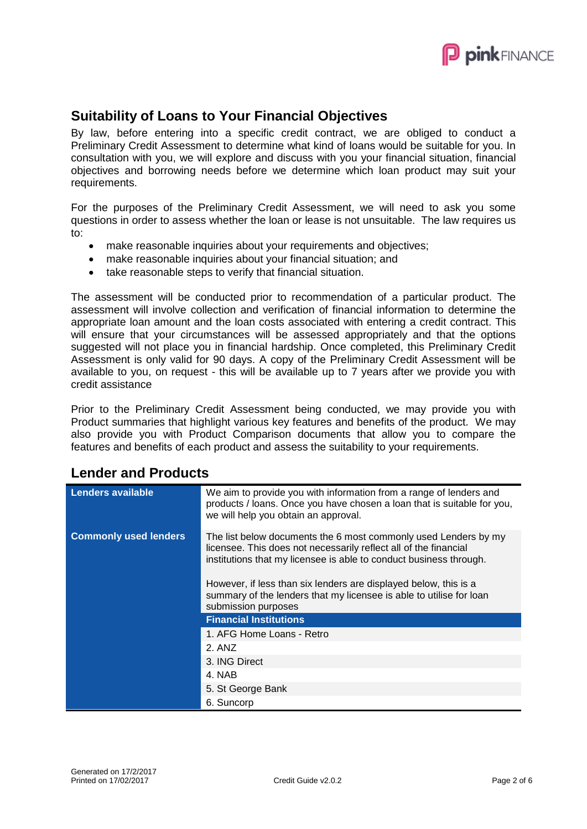

### **Suitability of Loans to Your Financial Objectives**

By law, before entering into a specific credit contract, we are obliged to conduct a Preliminary Credit Assessment to determine what kind of loans would be suitable for you. In consultation with you, we will explore and discuss with you your financial situation, financial objectives and borrowing needs before we determine which loan product may suit your requirements.

For the purposes of the Preliminary Credit Assessment, we will need to ask you some questions in order to assess whether the loan or lease is not unsuitable. The law requires us to:

- make reasonable inquiries about your requirements and objectives;
- make reasonable inquiries about your financial situation; and
- take reasonable steps to verify that financial situation.

The assessment will be conducted prior to recommendation of a particular product. The assessment will involve collection and verification of financial information to determine the appropriate loan amount and the loan costs associated with entering a credit contract. This will ensure that your circumstances will be assessed appropriately and that the options suggested will not place you in financial hardship. Once completed, this Preliminary Credit Assessment is only valid for 90 days. A copy of the Preliminary Credit Assessment will be available to you, on request - this will be available up to 7 years after we provide you with credit assistance

Prior to the Preliminary Credit Assessment being conducted, we may provide you with Product summaries that highlight various key features and benefits of the product. We may also provide you with Product Comparison documents that allow you to compare the features and benefits of each product and assess the suitability to your requirements.

| <b>Lenders available</b>     | We aim to provide you with information from a range of lenders and<br>products / loans. Once you have chosen a loan that is suitable for you,<br>we will help you obtain an approval.                                                                                                                                                                                       |
|------------------------------|-----------------------------------------------------------------------------------------------------------------------------------------------------------------------------------------------------------------------------------------------------------------------------------------------------------------------------------------------------------------------------|
| <b>Commonly used lenders</b> | The list below documents the 6 most commonly used Lenders by my<br>licensee. This does not necessarily reflect all of the financial<br>institutions that my licensee is able to conduct business through.<br>However, if less than six lenders are displayed below, this is a<br>summary of the lenders that my licensee is able to utilise for loan<br>submission purposes |
|                              | <b>Financial Institutions</b>                                                                                                                                                                                                                                                                                                                                               |
|                              | 1. AFG Home Loans - Retro                                                                                                                                                                                                                                                                                                                                                   |
|                              | 2. ANZ                                                                                                                                                                                                                                                                                                                                                                      |
|                              | 3. ING Direct                                                                                                                                                                                                                                                                                                                                                               |
|                              | 4. NAB                                                                                                                                                                                                                                                                                                                                                                      |
|                              | 5. St George Bank                                                                                                                                                                                                                                                                                                                                                           |
|                              | 6. Suncorp                                                                                                                                                                                                                                                                                                                                                                  |

### **Lender and Products**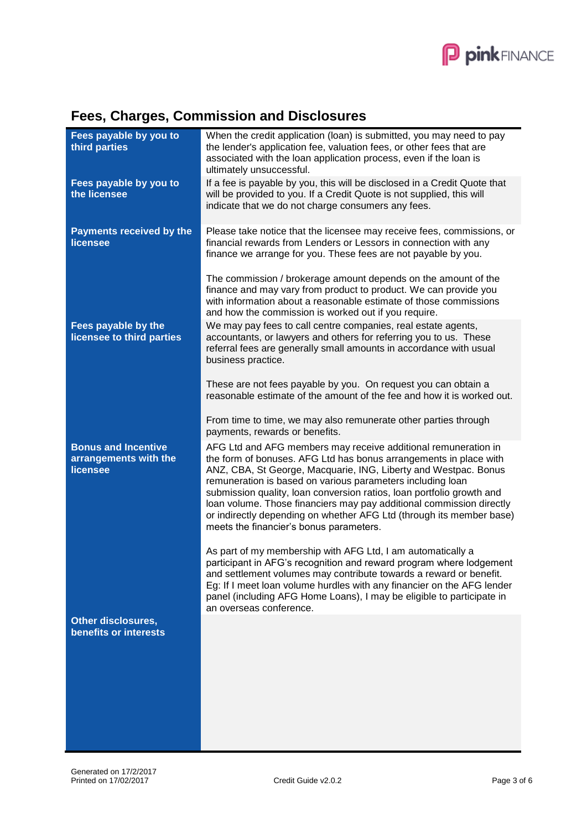

# **Fees, Charges, Commission and Disclosures**

| Fees payable by you to<br>third parties                         | When the credit application (loan) is submitted, you may need to pay<br>the lender's application fee, valuation fees, or other fees that are<br>associated with the loan application process, even if the loan is<br>ultimately unsuccessful.                                                                                                                                                                                                                                                                                            |
|-----------------------------------------------------------------|------------------------------------------------------------------------------------------------------------------------------------------------------------------------------------------------------------------------------------------------------------------------------------------------------------------------------------------------------------------------------------------------------------------------------------------------------------------------------------------------------------------------------------------|
| Fees payable by you to<br>the licensee                          | If a fee is payable by you, this will be disclosed in a Credit Quote that<br>will be provided to you. If a Credit Quote is not supplied, this will<br>indicate that we do not charge consumers any fees.                                                                                                                                                                                                                                                                                                                                 |
| <b>Payments received by the</b><br>licensee                     | Please take notice that the licensee may receive fees, commissions, or<br>financial rewards from Lenders or Lessors in connection with any<br>finance we arrange for you. These fees are not payable by you.                                                                                                                                                                                                                                                                                                                             |
|                                                                 | The commission / brokerage amount depends on the amount of the<br>finance and may vary from product to product. We can provide you<br>with information about a reasonable estimate of those commissions<br>and how the commission is worked out if you require.                                                                                                                                                                                                                                                                          |
| Fees payable by the<br>licensee to third parties                | We may pay fees to call centre companies, real estate agents,<br>accountants, or lawyers and others for referring you to us. These<br>referral fees are generally small amounts in accordance with usual<br>business practice.                                                                                                                                                                                                                                                                                                           |
|                                                                 | These are not fees payable by you. On request you can obtain a<br>reasonable estimate of the amount of the fee and how it is worked out.                                                                                                                                                                                                                                                                                                                                                                                                 |
|                                                                 | From time to time, we may also remunerate other parties through<br>payments, rewards or benefits.                                                                                                                                                                                                                                                                                                                                                                                                                                        |
| <b>Bonus and Incentive</b><br>arrangements with the<br>licensee | AFG Ltd and AFG members may receive additional remuneration in<br>the form of bonuses. AFG Ltd has bonus arrangements in place with<br>ANZ, CBA, St George, Macquarie, ING, Liberty and Westpac. Bonus<br>remuneration is based on various parameters including loan<br>submission quality, loan conversion ratios, loan portfolio growth and<br>loan volume. Those financiers may pay additional commission directly<br>or indirectly depending on whether AFG Ltd (through its member base)<br>meets the financier's bonus parameters. |
|                                                                 | As part of my membership with AFG Ltd, I am automatically a<br>participant in AFG's recognition and reward program where lodgement<br>and settlement volumes may contribute towards a reward or benefit.<br>Eg: If I meet loan volume hurdles with any financier on the AFG lender<br>panel (including AFG Home Loans), I may be eligible to participate in<br>an overseas conference.                                                                                                                                                   |
| <b>Other disclosures,</b><br>benefits or interests              |                                                                                                                                                                                                                                                                                                                                                                                                                                                                                                                                          |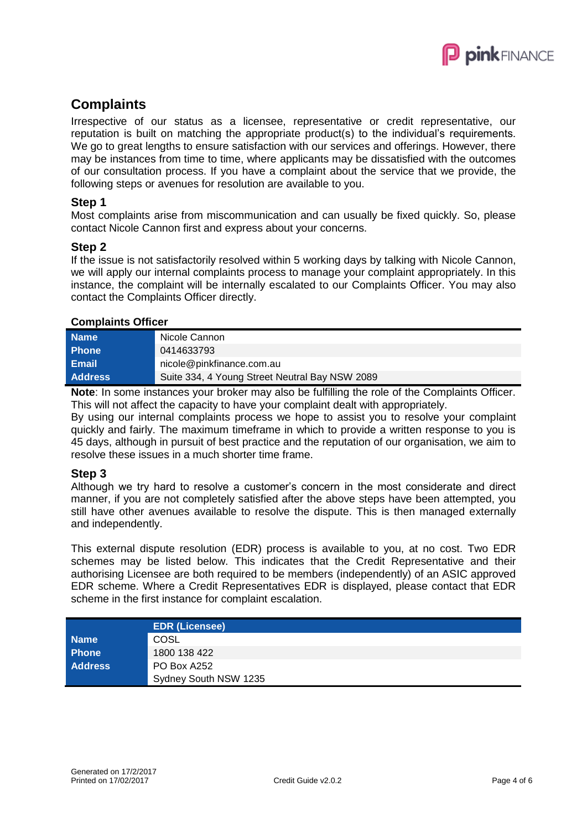

### **Complaints**

Irrespective of our status as a licensee, representative or credit representative, our reputation is built on matching the appropriate product(s) to the individual's requirements. We go to great lengths to ensure satisfaction with our services and offerings. However, there may be instances from time to time, where applicants may be dissatisfied with the outcomes of our consultation process. If you have a complaint about the service that we provide, the following steps or avenues for resolution are available to you.

#### **Step 1**

Most complaints arise from miscommunication and can usually be fixed quickly. So, please contact Nicole Cannon first and express about your concerns.

#### **Step 2**

If the issue is not satisfactorily resolved within 5 working days by talking with Nicole Cannon, we will apply our internal complaints process to manage your complaint appropriately. In this instance, the complaint will be internally escalated to our Complaints Officer. You may also contact the Complaints Officer directly.

#### **Complaints Officer**

| <b>Name</b>    | Nicole Cannon                                  |
|----------------|------------------------------------------------|
| <b>Phone</b>   | 0414633793                                     |
| Email          | nicole@pinkfinance.com.au                      |
| <b>Address</b> | Suite 334, 4 Young Street Neutral Bay NSW 2089 |

**Note**: In some instances your broker may also be fulfilling the role of the Complaints Officer. This will not affect the capacity to have your complaint dealt with appropriately.

By using our internal complaints process we hope to assist you to resolve your complaint quickly and fairly. The maximum timeframe in which to provide a written response to you is 45 days, although in pursuit of best practice and the reputation of our organisation, we aim to resolve these issues in a much shorter time frame.

#### **Step 3**

Although we try hard to resolve a customer's concern in the most considerate and direct manner, if you are not completely satisfied after the above steps have been attempted, you still have other avenues available to resolve the dispute. This is then managed externally and independently.

This external dispute resolution (EDR) process is available to you, at no cost. Two EDR schemes may be listed below. This indicates that the Credit Representative and their authorising Licensee are both required to be members (independently) of an ASIC approved EDR scheme. Where a Credit Representatives EDR is displayed, please contact that EDR scheme in the first instance for complaint escalation.

|                | <b>EDR (Licensee)</b> |
|----------------|-----------------------|
| <b>Name</b>    | COSL                  |
| <b>Phone</b>   | 1800 138 422          |
| <b>Address</b> | PO Box A252           |
|                | Sydney South NSW 1235 |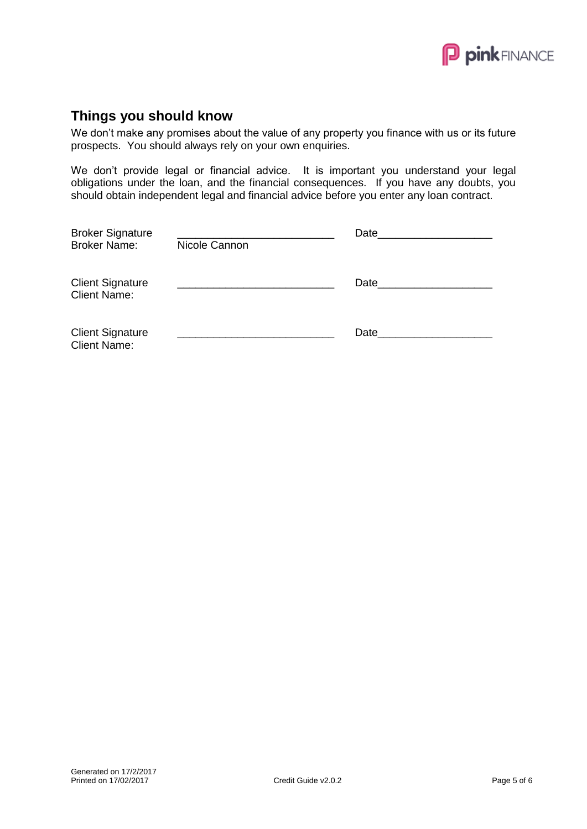

### **Things you should know**

We don't make any promises about the value of any property you finance with us or its future prospects. You should always rely on your own enquiries.

We don't provide legal or financial advice. It is important you understand your legal obligations under the loan, and the financial consequences. If you have any doubts, you should obtain independent legal and financial advice before you enter any loan contract.

| <b>Broker Signature</b>                        |               | Date |  |  |
|------------------------------------------------|---------------|------|--|--|
| <b>Broker Name:</b>                            | Nicole Cannon |      |  |  |
| <b>Client Signature</b><br><b>Client Name:</b> |               | Date |  |  |
| <b>Client Signature</b><br><b>Client Name:</b> |               | Date |  |  |